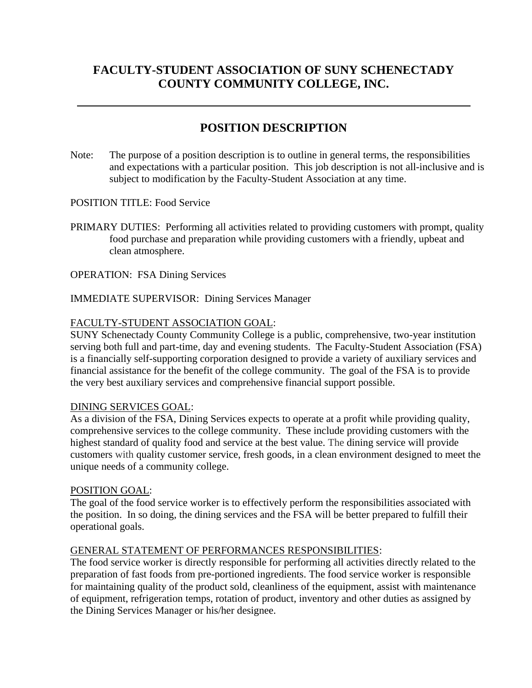# **FACULTY-STUDENT ASSOCIATION OF SUNY SCHENECTADY COUNTY COMMUNITY COLLEGE, INC.**

# **POSITION DESCRIPTION**

Note: The purpose of a position description is to outline in general terms, the responsibilities and expectations with a particular position. This job description is not all-inclusive and is subject to modification by the Faculty-Student Association at any time.

POSITION TITLE: Food Service

PRIMARY DUTIES: Performing all activities related to providing customers with prompt, quality food purchase and preparation while providing customers with a friendly, upbeat and clean atmosphere.

OPERATION: FSA Dining Services

### IMMEDIATE SUPERVISOR: Dining Services Manager

### FACULTY-STUDENT ASSOCIATION GOAL:

SUNY Schenectady County Community College is a public, comprehensive, two-year institution serving both full and part-time, day and evening students. The Faculty-Student Association (FSA) is a financially self-supporting corporation designed to provide a variety of auxiliary services and financial assistance for the benefit of the college community. The goal of the FSA is to provide the very best auxiliary services and comprehensive financial support possible.

### DINING SERVICES GOAL:

As a division of the FSA, Dining Services expects to operate at a profit while providing quality, comprehensive services to the college community. These include providing customers with the highest standard of quality food and service at the best value. The dining service will provide customers with quality customer service, fresh goods, in a clean environment designed to meet the unique needs of a community college.

### POSITION GOAL:

The goal of the food service worker is to effectively perform the responsibilities associated with the position. In so doing, the dining services and the FSA will be better prepared to fulfill their operational goals.

### GENERAL STATEMENT OF PERFORMANCES RESPONSIBILITIES:

The food service worker is directly responsible for performing all activities directly related to the preparation of fast foods from pre-portioned ingredients. The food service worker is responsible for maintaining quality of the product sold, cleanliness of the equipment, assist with maintenance of equipment, refrigeration temps, rotation of product, inventory and other duties as assigned by the Dining Services Manager or his/her designee.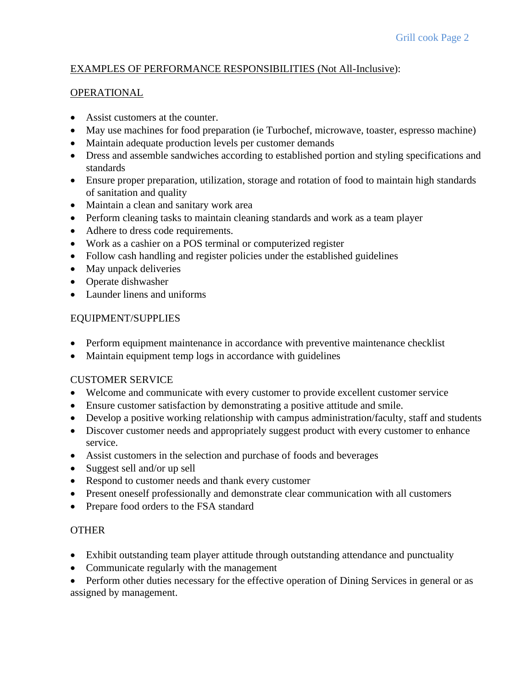### EXAMPLES OF PERFORMANCE RESPONSIBILITIES (Not All-Inclusive):

### OPERATIONAL

- Assist customers at the counter.
- May use machines for food preparation (ie Turbochef, microwave, toaster, espresso machine)
- Maintain adequate production levels per customer demands
- Dress and assemble sandwiches according to established portion and styling specifications and standards
- Ensure proper preparation, utilization, storage and rotation of food to maintain high standards of sanitation and quality
- Maintain a clean and sanitary work area
- Perform cleaning tasks to maintain cleaning standards and work as a team player
- Adhere to dress code requirements.
- Work as a cashier on a POS terminal or computerized register
- Follow cash handling and register policies under the established guidelines
- May unpack deliveries
- Operate dishwasher
- Launder linens and uniforms

### EQUIPMENT/SUPPLIES

- Perform equipment maintenance in accordance with preventive maintenance checklist
- Maintain equipment temp logs in accordance with guidelines

## CUSTOMER SERVICE

- Welcome and communicate with every customer to provide excellent customer service
- Ensure customer satisfaction by demonstrating a positive attitude and smile.
- Develop a positive working relationship with campus administration/faculty, staff and students
- Discover customer needs and appropriately suggest product with every customer to enhance service.
- Assist customers in the selection and purchase of foods and beverages
- Suggest sell and/or up sell
- Respond to customer needs and thank every customer
- Present oneself professionally and demonstrate clear communication with all customers
- Prepare food orders to the FSA standard

## **OTHER**

- Exhibit outstanding team player attitude through outstanding attendance and punctuality
- Communicate regularly with the management
- Perform other duties necessary for the effective operation of Dining Services in general or as assigned by management.